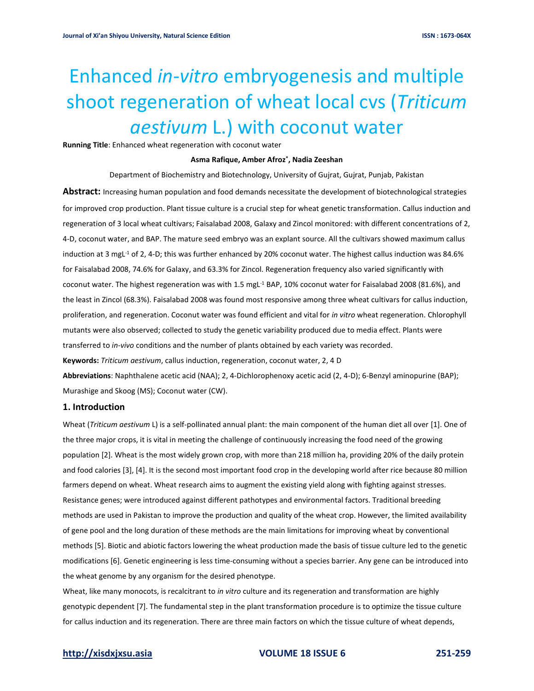# Enhanced *in-vitro* embryogenesis and multiple shoot regeneration of wheat local cvs (*Triticum aestivum* L.) with coconut water

**Running Title**: Enhanced wheat regeneration with coconut water

### **Asma Rafique, Amber Afroz\* , Nadia Zeeshan**

Department of Biochemistry and Biotechnology, University of Gujrat, Gujrat, Punjab, Pakistan **Abstract:** Increasing human population and food demands necessitate the development of biotechnological strategies for improved crop production. Plant tissue culture is a crucial step for wheat genetic transformation. Callus induction and regeneration of 3 local wheat cultivars; Faisalabad 2008, Galaxy and Zincol monitored: with different concentrations of 2, 4-D, coconut water, and BAP. The mature seed embryo was an explant source. All the cultivars showed maximum callus induction at 3 mgL<sup>-1</sup> of 2, 4-D; this was further enhanced by 20% coconut water. The highest callus induction was 84.6% for Faisalabad 2008, 74.6% for Galaxy, and 63.3% for Zincol. Regeneration frequency also varied significantly with coconut water. The highest regeneration was with 1.5 mgL<sup>-1</sup> BAP, 10% coconut water for Faisalabad 2008 (81.6%), and the least in Zincol (68.3%). Faisalabad 2008 was found most responsive among three wheat cultivars for callus induction, proliferation, and regeneration. Coconut water was found efficient and vital for *in vitro* wheat regeneration. Chlorophyll mutants were also observed; collected to study the genetic variability produced due to media effect. Plants were transferred to *in-vivo* conditions and the number of plants obtained by each variety was recorded. **Keywords:** *Triticum aestivum*, callus induction, regeneration, coconut water, 2, 4 D **Abbreviations**: Naphthalene acetic acid (NAA); 2, 4-Dichlorophenoxy acetic acid (2, 4-D); 6-Benzyl aminopurine (BAP); Murashige and Skoog (MS); Coconut water (CW).

# **1. Introduction**

Wheat (*Triticum aestivum* L) is a self-pollinated annual plant: the main component of the human diet all over [1]. One of the three major crops, it is vital in meeting the challenge of continuously increasing the food need of the growing population [2]. Wheat is the most widely grown crop, with more than 218 million ha, providing 20% of the daily protein and food calories [3], [4]. It is the second most important food crop in the developing world after rice because 80 million farmers depend on wheat. Wheat research aims to augment the existing yield along with fighting against stresses. Resistance genes; were introduced against different pathotypes and environmental factors. Traditional breeding methods are used in Pakistan to improve the production and quality of the wheat crop. However, the limited availability of gene pool and the long duration of these methods are the main limitations for improving wheat by conventional methods [5]. Biotic and abiotic factors lowering the wheat production made the basis of tissue culture led to the genetic modifications [6]. Genetic engineering is less time-consuming without a species barrier. Any gene can be introduced into the wheat genome by any organism for the desired phenotype.

Wheat, like many monocots, is recalcitrant to *in vitro* culture and its regeneration and transformation are highly genotypic dependent [7]. The fundamental step in the plant transformation procedure is to optimize the tissue culture for callus induction and its regeneration. There are three main factors on which the tissue culture of wheat depends,

# **[http://xisdxjxsu.asia](http://xisdxjxsu.asia/) VOLUME 18 ISSUE 6 251-259**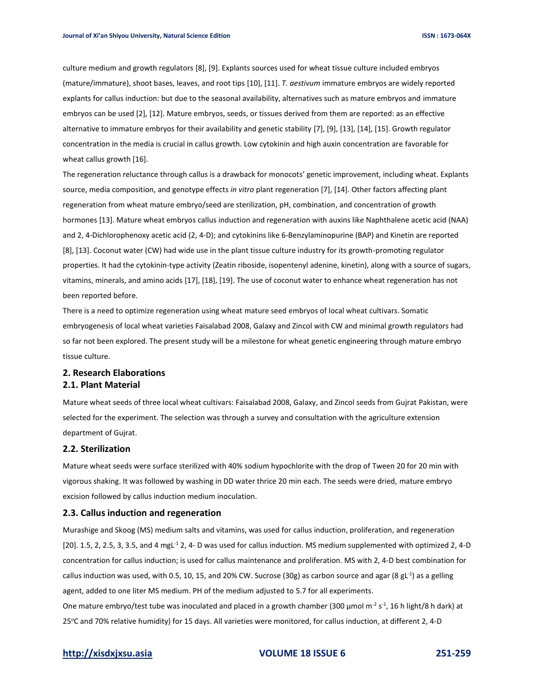culture medium and growth regulators [8], [9]. Explants sources used for wheat tissue culture included embryos (mature/immature), shoot bases, leaves, and root tips [10], [11]. *T. aestivum* immature embryos are widely reported explants for callus induction: but due to the seasonal availability, alternatives such as mature embryos and immature embryos can be used [2], [12]. Mature embryos, seeds, or tissues derived from them are reported: as an effective alternative to immature embryos for their availability and genetic stability [7], [9], [13], [14], [15]. Growth regulator concentration in the media is crucial in callus growth. Low cytokinin and high auxin concentration are favorable for wheat callus growth [16].

The regeneration reluctance through callus is a drawback for monocots' genetic improvement, including wheat. Explants source, media composition, and genotype effects *in vitro* plant regeneration [7], [14]. Other factors affecting plant regeneration from wheat mature embryo/seed are sterilization, pH, combination, and concentration of growth hormones [13]. Mature wheat embryos callus induction and regeneration with auxins like Naphthalene acetic acid (NAA) and 2, 4-Dichlorophenoxy acetic acid (2, 4-D); and cytokinins like 6-Benzylaminopurine (BAP) and Kinetin are reported [8], [13]. Coconut water (CW) had wide use in the plant tissue culture industry for its growth-promoting regulator properties. It had the cytokinin-type activity (Zeatin riboside, isopentenyl adenine, kinetin), along with a source of sugars, vitamins, minerals, and amino acids [17], [18], [19]. The use of coconut water to enhance wheat regeneration has not been reported before.

There is a need to optimize regeneration using wheat mature seed embryos of local wheat cultivars. Somatic embryogenesis of local wheat varieties Faisalabad 2008, Galaxy and Zincol with CW and minimal growth regulators had so far not been explored. The present study will be a milestone for wheat genetic engineering through mature embryo tissue culture.

# **2. Research Elaborations 2.1. Plant Material**

Mature wheat seeds of three local wheat cultivars: Faisalabad 2008, Galaxy, and Zincol seeds from Gujrat Pakistan, were selected for the experiment. The selection was through a survey and consultation with the agriculture extension department of Gujrat.

### **2.2. Sterilization**

Mature wheat seeds were surface sterilized with 40% sodium hypochlorite with the drop of Tween 20 for 20 min with vigorous shaking. It was followed by washing in DD water thrice 20 min each. The seeds were dried, mature embryo excision followed by callus induction medium inoculation.

### **2.3. Callus induction and regeneration**

Murashige and Skoog (MS) medium salts and vitamins, was used for callus induction, proliferation, and regeneration  $[20]$ . 1.5, 2, 2.5, 3, 3.5, and 4 mgL<sup>-1</sup> 2, 4- D was used for callus induction. MS medium supplemented with optimized 2, 4-D concentration for callus induction; is used for callus maintenance and proliferation. MS with 2, 4-D best combination for callus induction was used, with 0.5, 10, 15, and 20% CW. Sucrose (30g) as carbon source and agar (8 gL<sup>-1</sup>) as a gelling agent, added to one liter MS medium. PH of the medium adjusted to 5.7 for all experiments. One mature embryo/test tube was inoculated and placed in a growth chamber (300 µmol m<sup>-2</sup> s<sup>-1</sup>, 16 h light/8 h dark) at 25oC and 70% relative humidity) for 15 days. All varieties were monitored, for callus induction, at different 2, 4-D

# **[http://xisdxjxsu.asia](http://xisdxjxsu.asia/) VOLUME 18 ISSUE 6 251-259**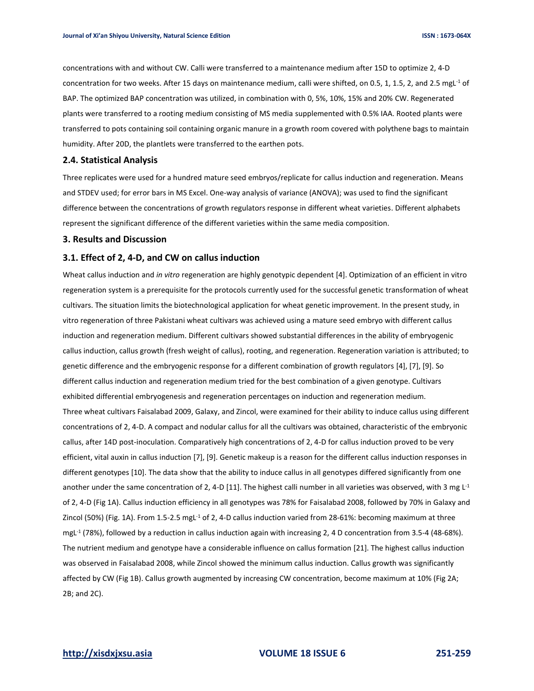concentrations with and without CW. Calli were transferred to a maintenance medium after 15D to optimize 2, 4-D concentration for two weeks. After 15 days on maintenance medium, calli were shifted, on 0.5, 1, 1.5, 2, and 2.5 mgL<sup>-1</sup> of BAP. The optimized BAP concentration was utilized, in combination with 0, 5%, 10%, 15% and 20% CW. Regenerated plants were transferred to a rooting medium consisting of MS media supplemented with 0.5% IAA. Rooted plants were transferred to pots containing soil containing organic manure in a growth room covered with polythene bags to maintain humidity. After 20D, the plantlets were transferred to the earthen pots.

### **2.4. Statistical Analysis**

Three replicates were used for a hundred mature seed embryos/replicate for callus induction and regeneration. Means and STDEV used; for error bars in MS Excel. One-way analysis of variance (ANOVA); was used to find the significant difference between the concentrations of growth regulators response in different wheat varieties. Different alphabets represent the significant difference of the different varieties within the same media composition.

### **3. Results and Discussion**

# **3.1. Effect of 2, 4-D, and CW on callus induction**

Wheat callus induction and *in vitro* regeneration are highly genotypic dependent [4]. Optimization of an efficient in vitro regeneration system is a prerequisite for the protocols currently used for the successful genetic transformation of wheat cultivars. The situation limits the biotechnological application for wheat genetic improvement. In the present study, in vitro regeneration of three Pakistani wheat cultivars was achieved using a mature seed embryo with different callus induction and regeneration medium. Different cultivars showed substantial differences in the ability of embryogenic callus induction, callus growth (fresh weight of callus), rooting, and regeneration. Regeneration variation is attributed; to genetic difference and the embryogenic response for a different combination of growth regulators [4], [7], [9]. So different callus induction and regeneration medium tried for the best combination of a given genotype. Cultivars exhibited differential embryogenesis and regeneration percentages on induction and regeneration medium. Three wheat cultivars Faisalabad 2009, Galaxy, and Zincol, were examined for their ability to induce callus using different concentrations of 2, 4-D. A compact and nodular callus for all the cultivars was obtained, characteristic of the embryonic callus, after 14D post-inoculation. Comparatively high concentrations of 2, 4-D for callus induction proved to be very efficient, vital auxin in callus induction [7], [9]. Genetic makeup is a reason for the different callus induction responses in different genotypes [10]. The data show that the ability to induce callus in all genotypes differed significantly from one another under the same concentration of 2, 4-D [11]. The highest calli number in all varieties was observed, with 3 mg L<sup>-1</sup> of 2, 4-D (Fig 1A). Callus induction efficiency in all genotypes was 78% for Faisalabad 2008, followed by 70% in Galaxy and Zincol (50%) (Fig. 1A). From 1.5-2.5 mgL<sup>-1</sup> of 2, 4-D callus induction varied from 28-61%: becoming maximum at three mgL<sup>-1</sup> (78%), followed by a reduction in callus induction again with increasing 2, 4 D concentration from 3.5-4 (48-68%). The nutrient medium and genotype have a considerable influence on callus formation [21]. The highest callus induction was observed in Faisalabad 2008, while Zincol showed the minimum callus induction. Callus growth was significantly affected by CW (Fig 1B). Callus growth augmented by increasing CW concentration, become maximum at 10% (Fig 2A; 2B; and 2C).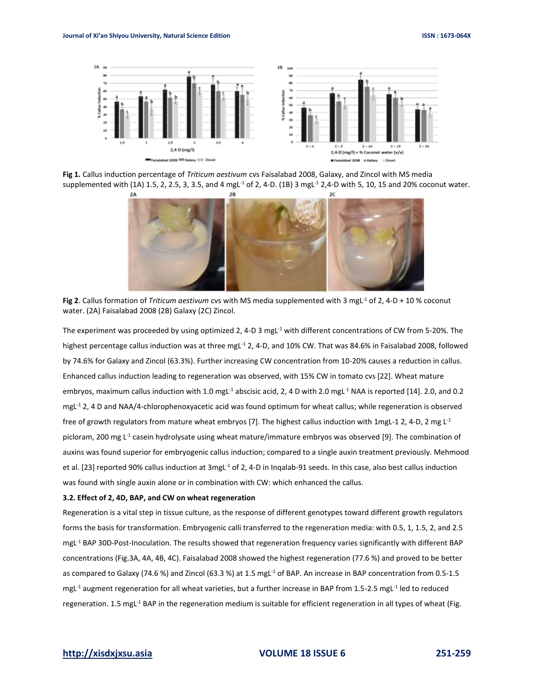

**Fig 1.** Callus induction percentage of *Triticum aestivum* cvs Faisalabad 2008, Galaxy, and Zincol with MS media supplemented with (1A) 1.5, 2, 2.5, 3, 3.5, and 4 mgL<sup>-1</sup> of 2, 4-D. (1B) 3 mgL<sup>-1</sup> 2,4-D with 5, 10, 15 and 20% coconut water.



**Fig 2**. Callus formation of *Triticum aestivum* cvs with MS media supplemented with 3 mgL<sup>-1</sup> of 2, 4-D + 10 % coconut water. (2A) Faisalabad 2008 (2B) Galaxy (2C) Zincol.

The experiment was proceeded by using optimized 2, 4-D 3 mgL $^{-1}$  with different concentrations of CW from 5-20%. The highest percentage callus induction was at three mgL<sup>-1</sup> 2, 4-D, and 10% CW. That was 84.6% in Faisalabad 2008, followed by 74.6% for Galaxy and Zincol (63.3%). Further increasing CW concentration from 10-20% causes a reduction in callus. Enhanced callus induction leading to regeneration was observed, with 15% CW in tomato cvs [22]. Wheat mature embryos, maximum callus induction with 1.0 mgL<sup>-1</sup> abscisic acid, 2, 4 D with 2.0 mgL<sup>-1</sup> NAA is reported [14]. 2.0, and 0.2 mgL-1 2, 4 D and NAA/4-chlorophenoxyacetic acid was found optimum for wheat callus; while regeneration is observed free of growth regulators from mature wheat embryos [7]. The highest callus induction with 1mgL-1 2, 4-D, 2 mg L-1 picloram, 200 mg L<sup>-1</sup> casein hydrolysate using wheat mature/immature embryos was observed [9]. The combination of auxins was found superior for embryogenic callus induction; compared to a single auxin treatment previously. Mehmood et al. [23] reported 90% callus induction at  $3$ mgL<sup>-1</sup> of 2, 4-D in Ingalab-91 seeds. In this case, also best callus induction was found with single auxin alone or in combination with CW: which enhanced the callus.

### **3.2. Effect of 2, 4D, BAP, and CW on wheat regeneration**

Regeneration is a vital step in tissue culture, as the response of different genotypes toward different growth regulators forms the basis for transformation. Embryogenic calli transferred to the regeneration media: with 0.5, 1, 1.5, 2, and 2.5 mgL-1 BAP 30D-Post-Inoculation. The results showed that regeneration frequency varies significantly with different BAP concentrations (Fig.3A, 4A, 4B, 4C). Faisalabad 2008 showed the highest regeneration (77.6 %) and proved to be better as compared to Galaxy (74.6 %) and Zincol (63.3 %) at 1.5 mgL<sup>-1</sup> of BAP. An increase in BAP concentration from 0.5-1.5 mgL<sup>-1</sup> augment regeneration for all wheat varieties, but a further increase in BAP from 1.5-2.5 mgL<sup>-1</sup> led to reduced regeneration. 1.5 mgL<sup>-1</sup> BAP in the regeneration medium is suitable for efficient regeneration in all types of wheat (Fig.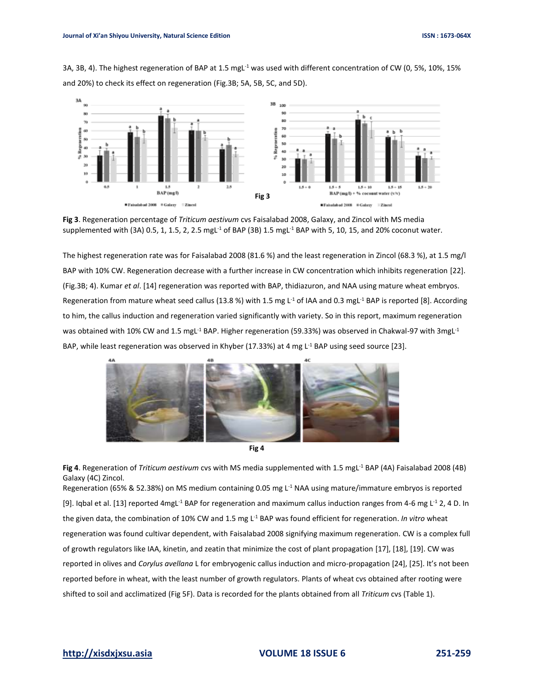3A, 3B, 4). The highest regeneration of BAP at 1.5 mgL<sup>-1</sup> was used with different concentration of CW (0, 5%, 10%, 15% and 20%) to check its effect on regeneration (Fig.3B; 5A, 5B, 5C, and 5D).



**Fig 3**. Regeneration percentage of *Triticum aestivum* cvs Faisalabad 2008, Galaxy, and Zincol with MS media supplemented with (3A) 0.5, 1, 1.5, 2, 2.5 mgL<sup>-1</sup> of BAP (3B) 1.5 mgL<sup>-1</sup> BAP with 5, 10, 15, and 20% coconut water.

The highest regeneration rate was for Faisalabad 2008 (81.6 %) and the least regeneration in Zincol (68.3 %), at 1.5 mg/l BAP with 10% CW. Regeneration decrease with a further increase in CW concentration which inhibits regeneration [22]. (Fig.3B; 4). Kumar *et al*. [14] regeneration was reported with BAP, thidiazuron, and NAA using mature wheat embryos. Regeneration from mature wheat seed callus (13.8 %) with 1.5 mg L<sup>-1</sup> of IAA and 0.3 mgL<sup>-1</sup> BAP is reported [8]. According to him, the callus induction and regeneration varied significantly with variety. So in this report, maximum regeneration was obtained with 10% CW and 1.5 mgL<sup>-1</sup> BAP. Higher regeneration (59.33%) was observed in Chakwal-97 with 3mgL<sup>-1</sup> BAP, while least regeneration was observed in Khyber (17.33%) at 4 mg L<sup>-1</sup> BAP using seed source [23].





Fig 4. Regeneration of *Triticum aestivum* cvs with MS media supplemented with 1.5 mgL<sup>-1</sup> BAP (4A) Faisalabad 2008 (4B) Galaxy (4C) Zincol. Regeneration (65% & 52.38%) on MS medium containing 0.05 mg L<sup>-1</sup> NAA using mature/immature embryos is reported

[9]. Iqbal et al. [13] reported 4mgL<sup>-1</sup> BAP for regeneration and maximum callus induction ranges from 4-6 mg L<sup>-1</sup> 2, 4 D. In the given data, the combination of 10% CW and 1.5 mg L<sup>-1</sup> BAP was found efficient for regeneration. *In vitro* wheat regeneration was found cultivar dependent, with Faisalabad 2008 signifying maximum regeneration. CW is a complex full of growth regulators like IAA, kinetin, and zeatin that minimize the cost of plant propagation [17], [18], [19]. CW was reported in olives and *Corylus avellana* L for embryogenic callus induction and micro-propagation [24], [25]. It's not been reported before in wheat, with the least number of growth regulators. Plants of wheat cvs obtained after rooting were shifted to soil and acclimatized (Fig 5F). Data is recorded for the plants obtained from all *Triticum* cvs (Table 1).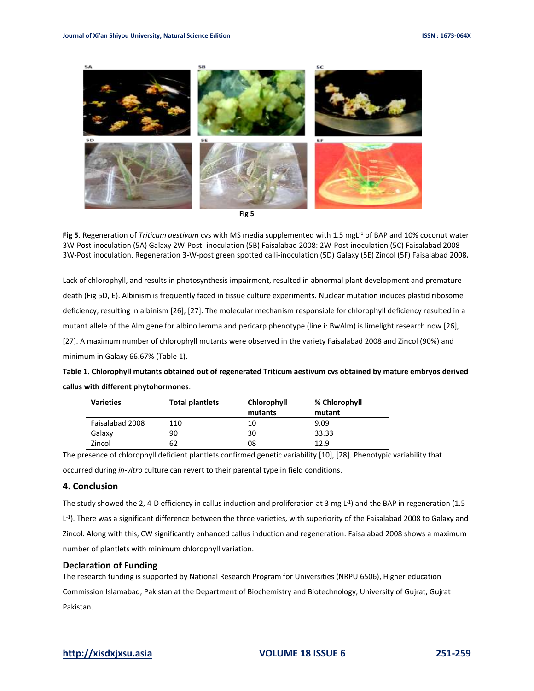

**Fig 5** 

Fig 5. Regeneration of *Triticum aestivum* cvs with MS media supplemented with 1.5 mgL<sup>-1</sup> of BAP and 10% coconut water 3W-Post inoculation (5A) Galaxy 2W-Post- inoculation (5B) Faisalabad 2008: 2W-Post inoculation (5C) Faisalabad 2008 3W-Post inoculation. Regeneration 3-W-post green spotted calli-inoculation (5D) Galaxy (5E) Zincol (5F) Faisalabad 2008**.**

Lack of chlorophyll, and results in photosynthesis impairment, resulted in abnormal plant development and premature death (Fig 5D, E). Albinism is frequently faced in tissue culture experiments. Nuclear mutation induces plastid ribosome deficiency; resulting in albinism [26], [27]. The molecular mechanism responsible for chlorophyll deficiency resulted in a mutant allele of the Alm gene for albino lemma and pericarp phenotype (line i: BwAlm) is limelight research now [26], [27]. A maximum number of chlorophyll mutants were observed in the variety Faisalabad 2008 and Zincol (90%) and minimum in Galaxy 66.67% (Table 1).

| Table 1. Chlorophyll mutants obtained out of regenerated Triticum aestivum cys obtained by mature embryos derived |
|-------------------------------------------------------------------------------------------------------------------|
| callus with different phytohormones.                                                                              |

| <b>Varieties</b> | <b>Total plantiets</b> | Chlorophyll | % Chlorophyll |
|------------------|------------------------|-------------|---------------|
|                  |                        | mutants     | mutant        |
| Faisalabad 2008  | 110                    | 10          | 9.09          |
| Galaxy           | 90                     | 30          | 33.33         |
| Zincol           | 62                     | 08          | 12.9          |

The presence of chlorophyll deficient plantlets confirmed genetic variability [10], [28]. Phenotypic variability that occurred during *in-vitro* culture can revert to their parental type in field conditions.

# **4. Conclusion**

The study showed the 2, 4-D efficiency in callus induction and proliferation at 3 mg L<sup>-1</sup>) and the BAP in regeneration (1.5 L<sup>-1</sup>). There was a significant difference between the three varieties, with superiority of the Faisalabad 2008 to Galaxy and Zincol. Along with this, CW significantly enhanced callus induction and regeneration. Faisalabad 2008 shows a maximum number of plantlets with minimum chlorophyll variation.

# **Declaration of Funding**

The research funding is supported by National Research Program for Universities (NRPU 6506), Higher education Commission Islamabad, Pakistan at the Department of Biochemistry and Biotechnology, University of Gujrat, Gujrat Pakistan.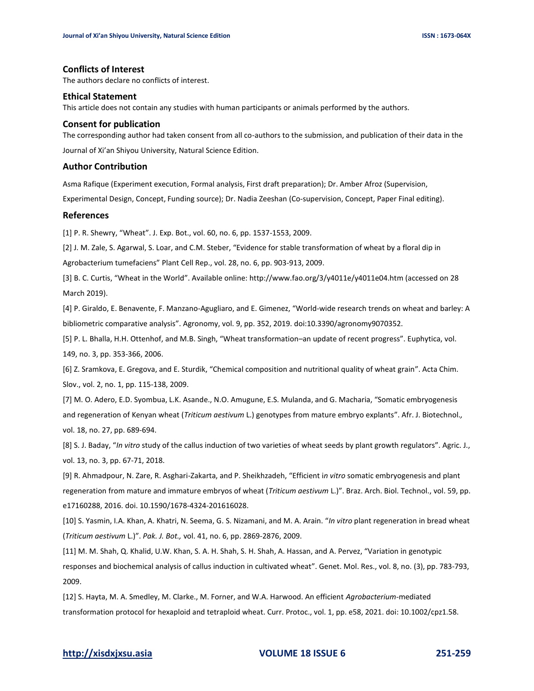# **Conflicts of Interest**

The authors declare no conflicts of interest.

### **Ethical Statement**

This article does not contain any studies with human participants or animals performed by the authors.

### **Consent for publication**

The corresponding author had taken consent from all co-authors to the submission, and publication of their data in the Journal of Xi'an Shiyou University, Natural Science Edition.

# **Author Contribution**

Asma Rafique (Experiment execution, Formal analysis, First draft preparation); Dr. Amber Afroz (Supervision,

Experimental Design, Concept, Funding source); Dr. Nadia Zeeshan (Co-supervision, Concept, Paper Final editing).

# **References**

[1] P. R. Shewry, "Wheat". J. Exp. Bot., vol. 60, no. 6, pp. 1537-1553, 2009.

[2] J. M. Zale, S. Agarwal, S. Loar, and C.M. Steber, "Evidence for stable transformation of wheat by a floral dip in Agrobacterium tumefaciens" Plant Cell Rep., vol. 28, no. 6, pp. 903-913, 2009.

[3] B. C. Curtis, "Wheat in the World". Available online: http://www.fao.org/3/y4011e/y4011e04.htm (accessed on 28 March 2019).

[4] P. Giraldo, E. Benavente, F. Manzano-Agugliaro, and E. Gimenez, "World-wide research trends on wheat and barley: A bibliometric comparative analysis". Agronomy, vol. 9, pp. 352, 2019. doi:10.3390/agronomy9070352.

[5] P. L. Bhalla, H.H. Ottenhof, and M.B. Singh, "Wheat transformation–an update of recent progress". Euphytica, vol. 149, no. 3, pp. 353-366, 2006.

[6] Z. Sramkova, E. Gregova, and E. Sturdik, "Chemical composition and nutritional quality of wheat grain". Acta Chim. Slov., vol. 2, no. 1, pp. 115-138, 2009.

[7] M. O. Adero, E.D. Syombua, L.K. Asande., N.O. Amugune, E.S. Mulanda, and G. Macharia, "Somatic embryogenesis and regeneration of Kenyan wheat (*Triticum aestivum* L.) genotypes from mature embryo explants". Afr. J. Biotechnol.*,* vol. 18, no. 27, pp. 689-694.

[8] S. J. Baday, "*In vitro* study of the callus induction of two varieties of wheat seeds by plant growth regulators". Agric. J., vol. 13, no. 3, pp. 67-71, 2018.

[9] R. Ahmadpour, N. Zare, R. Asghari-Zakarta, and P. Sheikhzadeh, "Efficient i*n vitro* somatic embryogenesis and plant regeneration from mature and immature embryos of wheat (*Triticum aestivum* L.)". Braz. Arch. Biol. Technol., vol. 59, pp. e17160288, 2016. doi. 10.1590/1678-4324-201616028.

[10] S. Yasmin, I.A. Khan, A. Khatri, N. Seema, G. S. Nizamani, and M. A. Arain. "*In vitro* plant regeneration in bread wheat (*Triticum aestivum* L.)". *Pak. J. Bot.,* vol. 41, no. 6, pp. 2869-2876, 2009.

[11] M. M. Shah, Q. Khalid, U.W. Khan, S. A. H. Shah, S. H. Shah, A. Hassan, and A. Pervez, "Variation in genotypic responses and biochemical analysis of callus induction in cultivated wheat". Genet. Mol. Res., vol. 8, no. (3), pp. 783-793, 2009.

[12] S. Hayta, M. A. Smedley, M. Clarke., M. Forner, and W.A. Harwood. An efficient *Agrobacterium*-mediated transformation protocol for hexaploid and tetraploid wheat. Curr. Protoc., vol. 1, pp. e58, 2021. doi: 10.1002/cpz1.58.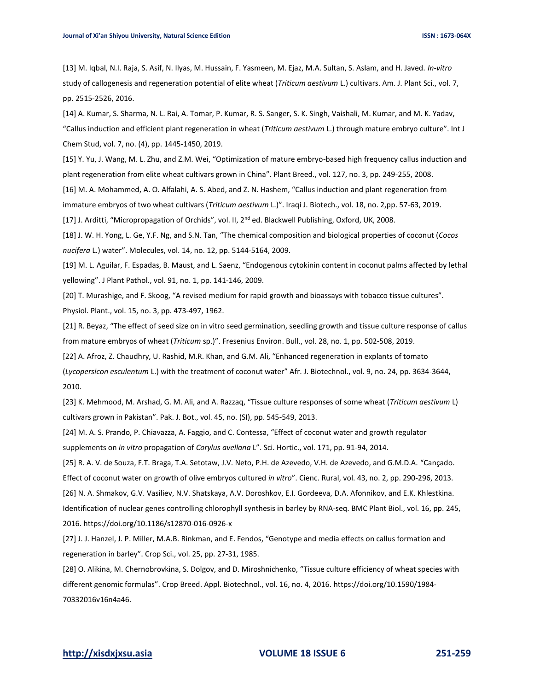[13] M. Iqbal, N.I. Raja, S. Asif, N. Ilyas, M. Hussain, F. Yasmeen, M. Ejaz, M.A. Sultan, S. Aslam, and H. Javed. *In-vitro* study of callogenesis and regeneration potential of elite wheat (*Triticum aestivum* L.) cultivars. Am. J. Plant Sci., vol. 7, pp. 2515-2526, 2016.

[14] A. Kumar, S. Sharma, N. L. Rai, A. Tomar, P. Kumar, R. S. Sanger, S. K. Singh, Vaishali, M. Kumar, and M. K. Yadav, "Callus induction and efficient plant regeneration in wheat (*Triticum aestivum* L.) through mature embryo culture". Int J Chem Stud, vol. 7, no. (4), pp. 1445-1450, 2019.

[15] Y. Yu, J. Wang, M. L. Zhu, and Z.M. Wei, "Optimization of mature embryo-based high frequency callus induction and plant regeneration from elite wheat cultivars grown in China". Plant Breed., vol. 127, no. 3, pp. 249-255, 2008.

[16] M. A. Mohammed, A. O. Alfalahi, A. S. Abed, and Z. N. Hashem, "Callus induction and plant regeneration from immature embryos of two wheat cultivars (*Triticum aestivum* L.)". Iraqi J. Biotech., vol. 18, no. 2,pp. 57-63, 2019.

[17] J. Arditti, "Micropropagation of Orchids", vol. II, 2<sup>nd</sup> ed. Blackwell Publishing, Oxford, UK, 2008.

[18] J. W. H. Yong, L. Ge, Y.F. Ng, and S.N. Tan, "The chemical composition and biological properties of coconut (*Cocos nucifera* L.) water". Molecules, vol. 14, no. 12, pp. 5144-5164, 2009.

[19] M. L. Aguilar, F. Espadas, B. Maust, and L. Saenz, "Endogenous cytokinin content in coconut palms affected by lethal yellowing". J Plant Pathol., vol. 91, no. 1, pp. 141-146, 2009.

[20] T. Murashige, and F. Skoog, "A revised medium for rapid growth and bioassays with tobacco tissue cultures". Physiol. Plant., vol. 15, no. 3, pp. 473-497, 1962.

[21] R. Beyaz, "The effect of seed size on in vitro seed germination, seedling growth and tissue culture response of callus from mature embryos of wheat (*Triticum* sp.)". Fresenius Environ. Bull., vol. 28, no. 1, pp. 502-508, 2019.

[22] A. Afroz, Z. Chaudhry, U. Rashid, M.R. Khan, and G.M. Ali, "Enhanced regeneration in explants of tomato (*Lycopersicon esculentum* L.) with the treatment of coconut water" Afr. J. Biotechnol., vol. 9, no. 24, pp. 3634-3644, 2010.

[23] K. Mehmood, M. Arshad, G. M. Ali, and A. Razzaq, "Tissue culture responses of some wheat (*Triticum aestivum* L) cultivars grown in Pakistan". Pak. J. Bot., vol. 45, no. (SI), pp. 545-549, 2013.

[24] M. A. S. Prando, P. Chiavazza, A. Faggio, and C. Contessa, "Effect of coconut water and growth regulator supplements on *in vitro* propagation of *Corylus avellana* L". Sci. Hortic., vol. 171, pp. 91-94, 2014.

[25] R. A. V. de Souza, F.T. Braga, T.A. Setotaw, J.V. Neto, P.H. de Azevedo, V.H. de Azevedo, and G.M.D.A. "Cançado. Effect of coconut water on growth of olive embryos cultured *in vitro*". Cienc. Rural, vol. 43, no. 2, pp. 290-296, 2013. [26] N. A. Shmakov, G.V. Vasiliev, N.V. Shatskaya, A.V. Doroshkov, E.I. Gordeeva, D.A. Afonnikov, and E.K. Khlestkina. Identification of nuclear genes controlling chlorophyll synthesis in barley by RNA-seq. BMC Plant Biol., vol. 16, pp. 245, 2016. https://doi.org/10.1186/s12870-016-0926-x

[27] J. J. Hanzel, J. P. Miller, M.A.B. Rinkman, and E. Fendos, "Genotype and media effects on callus formation and regeneration in barley". Crop Sci., vol. 25, pp. 27-31, 1985.

[28] O. Alikina, M. Chernobrovkina, S. Dolgov, and D. Miroshnichenko, "Tissue culture efficiency of wheat species with different genomic formulas". Crop Breed. Appl. Biotechnol., vol. 16, no. 4, 2016[. https://doi.org/10.1590/1984-](https://doi.org/10.1590/1984-70332016v16n4a46) [70332016v16n4a46.](https://doi.org/10.1590/1984-70332016v16n4a46)